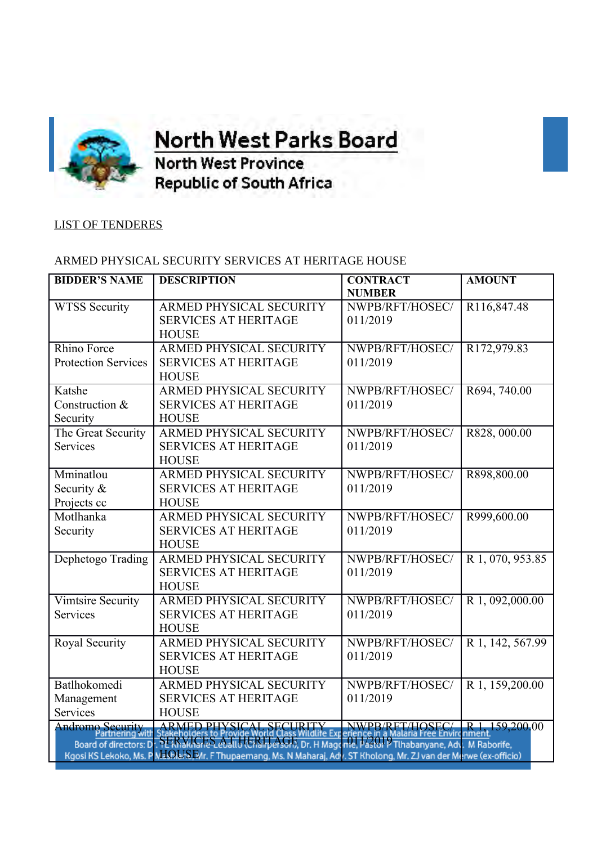

**OFFICE OF THE orth West Parks Board** 

**North West Province Republic of South Africa** 

## LIST OF TENDERES

## ARMED PHYSICAL SECURITY SERVICES AT HERITAGE HOUSE

| <b>BIDDER'S NAME</b>                                                                                               | <b>DESCRIPTION</b>             | <b>CONTRACT</b> | <b>AMOUNT</b>    |  |
|--------------------------------------------------------------------------------------------------------------------|--------------------------------|-----------------|------------------|--|
|                                                                                                                    |                                | <b>NUMBER</b>   |                  |  |
| <b>WTSS Security</b>                                                                                               | ARMED PHYSICAL SECURITY        | NWPB/RFT/HOSEC/ | R116,847.48      |  |
|                                                                                                                    | <b>SERVICES AT HERITAGE</b>    | 011/2019        |                  |  |
|                                                                                                                    | <b>HOUSE</b>                   |                 |                  |  |
| Rhino Force                                                                                                        | ARMED PHYSICAL SECURITY        | NWPB/RFT/HOSEC/ | R172,979.83      |  |
| <b>Protection Services</b>                                                                                         | <b>SERVICES AT HERITAGE</b>    | 011/2019        |                  |  |
|                                                                                                                    | <b>HOUSE</b>                   |                 |                  |  |
| Katshe                                                                                                             | <b>ARMED PHYSICAL SECURITY</b> | NWPB/RFT/HOSEC/ | R694, 740.00     |  |
| Construction &                                                                                                     | <b>SERVICES AT HERITAGE</b>    | 011/2019        |                  |  |
| Security                                                                                                           | <b>HOUSE</b>                   |                 |                  |  |
| The Great Security                                                                                                 | ARMED PHYSICAL SECURITY        | NWPB/RFT/HOSEC/ | R828,000.00      |  |
| Services                                                                                                           | <b>SERVICES AT HERITAGE</b>    | 011/2019        |                  |  |
|                                                                                                                    | <b>HOUSE</b>                   |                 |                  |  |
| Mminatlou                                                                                                          | ARMED PHYSICAL SECURITY        | NWPB/RFT/HOSEC/ | R898,800.00      |  |
| Security &                                                                                                         | <b>SERVICES AT HERITAGE</b>    | 011/2019        |                  |  |
| Projects cc                                                                                                        | <b>HOUSE</b>                   |                 |                  |  |
| Motlhanka                                                                                                          | <b>ARMED PHYSICAL SECURITY</b> | NWPB/RFT/HOSEC/ | R999,600.00      |  |
| Security                                                                                                           | <b>SERVICES AT HERITAGE</b>    | 011/2019        |                  |  |
|                                                                                                                    | <b>HOUSE</b>                   |                 |                  |  |
| Dephetogo Trading                                                                                                  | ARMED PHYSICAL SECURITY        | NWPB/RFT/HOSEC/ | R 1, 070, 953.85 |  |
|                                                                                                                    | <b>SERVICES AT HERITAGE</b>    | 011/2019        |                  |  |
|                                                                                                                    | <b>HOUSE</b>                   |                 |                  |  |
| <b>Vimtsire Security</b>                                                                                           | ARMED PHYSICAL SECURITY        | NWPB/RFT/HOSEC/ | R 1, 092,000.00  |  |
| Services                                                                                                           | <b>SERVICES AT HERITAGE</b>    | 011/2019        |                  |  |
|                                                                                                                    | <b>HOUSE</b>                   |                 |                  |  |
| <b>Royal Security</b>                                                                                              | <b>ARMED PHYSICAL SECURITY</b> | NWPB/RFT/HOSEC/ | R 1, 142, 567.99 |  |
|                                                                                                                    | <b>SERVICES AT HERITAGE</b>    | 011/2019        |                  |  |
|                                                                                                                    | <b>HOUSE</b>                   |                 |                  |  |
| Batlhokomedi                                                                                                       | ARMED PHYSICAL SECURITY        | NWPB/RFT/HOSEC/ | R 1, 159,200.00  |  |
| Management                                                                                                         | <b>SERVICES AT HERITAGE</b>    | 011/2019        |                  |  |
| Services                                                                                                           | <b>HOUSE</b>                   |                 |                  |  |
| <b>Andromo Security</b>                                                                                            |                                |                 |                  |  |
| Iromo Security ARMED PHYSICAL SECURITY NWPB/RFT/HOSEC/ R1 159,200.00                                               |                                |                 |                  |  |
| Kgosi KS Lekoko, Ms. P MLON S.EMr. F Thupaemang, Ms. N Maharaj, Adv. ST Kholong, Mr. ZJ van der Merwe (ex-officio) |                                |                 |                  |  |